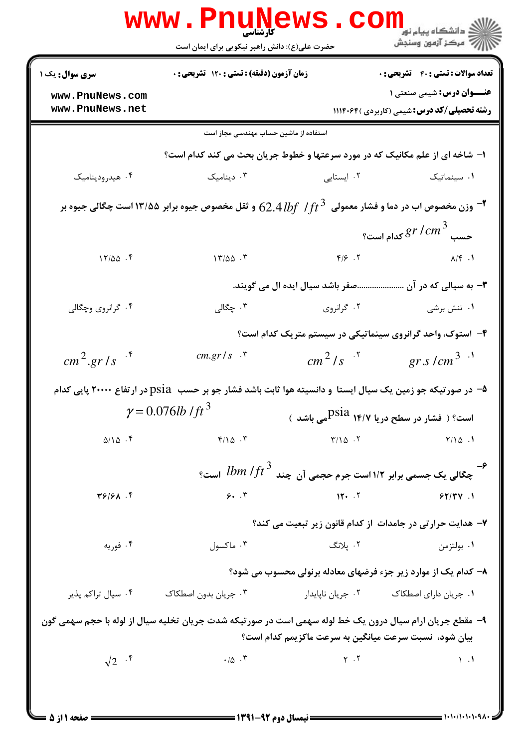|                                                                                                                                                                   | <b>WWW.FNUNEWS</b><br><b>کارشناسی</b><br>حضرت علی(ع): دانش راهبر نیکویی برای ایمان است                                                            |                                 | ڪ دانشڪاه پيا <sub>م</sub> نور<br><mark>ر</mark> 7 مرڪز آزمون وسنڊش                    |
|-------------------------------------------------------------------------------------------------------------------------------------------------------------------|---------------------------------------------------------------------------------------------------------------------------------------------------|---------------------------------|----------------------------------------------------------------------------------------|
| سری سوال: یک ۱                                                                                                                                                    | زمان آزمون (دقیقه) : تستی : ۱۲۰ تشریحی : ۰                                                                                                        |                                 | <b>تعداد سوالات : تستي : 40 قشريحي : 0</b>                                             |
| www.PnuNews.com<br>www.PnuNews.net                                                                                                                                |                                                                                                                                                   |                                 | <b>عنـــوان درس:</b> شیمی صنعتی ۱<br><b>رشته تحصیلی/کد درس:</b> شیمی (کاربردی )۱۱۱۴۰۶۴ |
|                                                                                                                                                                   | استفاده از ماشین حساب مهندسی مجاز است                                                                                                             |                                 |                                                                                        |
|                                                                                                                                                                   | ا- شاخه ای از علم مکانیک که در مورد سرعتها و خطوط جریان بحث می کند کدام است؟                                                                      |                                 |                                                                                        |
| ۰۴ هیدرودینامیک                                                                                                                                                   | دینامیک $\cdot$ ۳                                                                                                                                 | ۰۲ ایستایی                      | ۰۱ سینماتیک                                                                            |
|                                                                                                                                                                   | وزن مخصوص اب در دما و فشار معمولی $\,$ / $\,$ / $\,$ / $\,$ / $\,$ / $\,$ $\,$ $\,$ $\,$ و ثقل مخصوص جیوه برابر ۱۳/۵۵ است چگالی جیوه بر $\,$ $\,$ |                                 |                                                                                        |
|                                                                                                                                                                   |                                                                                                                                                   |                                 |                                                                                        |
| $17/\Delta\Delta$ .                                                                                                                                               | 17/20.7                                                                                                                                           | $F/S$ . $Y$                     | $\lambda/\mathfrak{k}$ .                                                               |
|                                                                                                                                                                   |                                                                                                                                                   | صفر باشد سیال ایده ال می گویند. | <b>۳</b> - به سیالی که در آن                                                           |
| ۰۴ گرانروی وچگالی                                                                                                                                                 | ۰۳ چگالی                                                                                                                                          | ۰۲ گرانروی                      | ۰۱ تنش برشی                                                                            |
|                                                                                                                                                                   |                                                                                                                                                   |                                 | ۴- استوک، واحد گرانروی سینماتیکی در سیستم متریک کدام است؟                              |
| $cm^2.gr/s$ <sup>f</sup>                                                                                                                                          | $cm.gr/s$ $\cdot$ $\cdot$                                                                                                                         | $cm^2/s$ $\cdot$ <sup>5</sup>   | gr s / cm <sup>3</sup>                                                                 |
|                                                                                                                                                                   | ۵− در صورتیکه جو زمین یک سیال ایستا ً و دانسیته هوا ثابت باشد فشار جو بر حسب ۔psia در ارتفاع ۲۰۰۰۰ پایی کدام                                      |                                 |                                                                                        |
|                                                                                                                                                                   | $\gamma = 0.076$ lb / ft <sup>3</sup>                                                                                                             |                                 | است؟ ( فشار در سطح دریا ۱۴/۷ Psia<br>است؟ ( فشار در سطح دریا ۱۴/۷ Psia                 |
| $\Delta/\Delta$ .                                                                                                                                                 | $F/\Delta$ . $T$                                                                                                                                  | $Y/\lambda$ $Y$                 | $Y/\Omega$ .                                                                           |
|                                                                                                                                                                   |                                                                                                                                                   |                                 | جگالی یک جسمی برابر ۱۱۲است جرم حجمی آن چند $\mathit{lbm}$ است؟                         |
| T5/51                                                                                                                                                             | 9.7                                                                                                                                               | 15.7                            | 57/7V.1                                                                                |
|                                                                                                                                                                   |                                                                                                                                                   |                                 | ۷- هدایت حرارتی در جامدات از کدام قانون زیر تبعیت می کند؟                              |
| ۰۴ فوریه                                                                                                                                                          | ۰۳ ماکسول                                                                                                                                         | ۰۲ پلانگ                        | ۰۱ بولتزمن                                                                             |
|                                                                                                                                                                   |                                                                                                                                                   |                                 | ۸– کدام یک از موارد زیر جزء فرضهای معادله برنولی محسوب می شود؟                         |
| ۰۴ سیال تراکم پذیر                                                                                                                                                | ۰۳ جریان بدون اصطکاک                                                                                                                              |                                 |                                                                                        |
| ۹- مقطع جریان ارام سیال درون یک خط لوله سهمی است در صورتیکه شدت جریان تخلیه سیال از لوله با حجم سهمی گون<br>بیان شود، نسبت سرعت میانگین به سرعت ماکزیمم کدام است؟ |                                                                                                                                                   |                                 |                                                                                        |
| $\sqrt{2}$ . $\sqrt{2}$                                                                                                                                           | $\cdot/\Delta$ . ٣                                                                                                                                | $Y \cdot Y$                     | $\setminus \cdot$                                                                      |
|                                                                                                                                                                   |                                                                                                                                                   |                                 |                                                                                        |
|                                                                                                                                                                   | ــــ نيمسال دوم 92-1391 ـــ                                                                                                                       |                                 | = 1・1・/1・1・1・9人・                                                                       |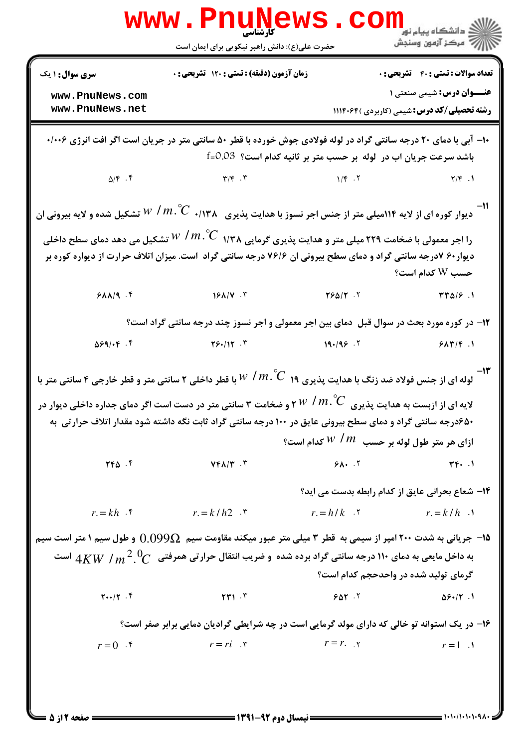|                                                                                                                                                                                                                                                | <b>WWW.PNUNEWS.</b><br><b>کارشناسی</b><br>حضرت علی(ع): دانش راهبر نیکویی برای ایمان است                                                                                                                                                                                                                                                    |                | دانشگاه پيام نور<br>ا∛ مرکز آزمون وسنجش                                              |  |
|------------------------------------------------------------------------------------------------------------------------------------------------------------------------------------------------------------------------------------------------|--------------------------------------------------------------------------------------------------------------------------------------------------------------------------------------------------------------------------------------------------------------------------------------------------------------------------------------------|----------------|--------------------------------------------------------------------------------------|--|
| <b>سری سوال :</b> ۱ یک                                                                                                                                                                                                                         | زمان آزمون (دقیقه) : تستی : ۱۲۰ تشریحی : 0                                                                                                                                                                                                                                                                                                 |                | <b>تعداد سوالات : تستي : 40 - تشريحي : 0</b>                                         |  |
| www.PnuNews.com<br>www.PnuNews.net                                                                                                                                                                                                             |                                                                                                                                                                                                                                                                                                                                            |                | <b>عنــوان درس:</b> شیمی صنعتی ۱<br><b>رشته تحصیلی/کد درس:</b> شیمی (کاربردی )۱۱۴۰۶۴ |  |
| <b>۱۰- آبی با دمای ۲۰ درجه سانتی گراد در لوله فولادی جوش خورده با قطر ۵۰ سانتی متر در جریان است اگر افت انرژی ۱۰۰۶۰</b><br>باشد سرعت جریان اب در  لوله  بر حسب متر بر ثانیه کدام است؟  0.03=f                                                  |                                                                                                                                                                                                                                                                                                                                            |                |                                                                                      |  |
|                                                                                                                                                                                                                                                | $\Delta/F$ . If $\Gamma/F$ . T $\Gamma/F$ . T $\Gamma/F$ . T $\Gamma/F$ . T                                                                                                                                                                                                                                                                |                |                                                                                      |  |
| دیوار کوره ای از لایه ۱۱۴میلی متر از جنس اجر نسوز با هدایت پذیری $\,N\,$ ۰/۱۳۸ $\,W\,$ تشکیل شده و لایه بیرونی ان                                                                                                                              |                                                                                                                                                                                                                                                                                                                                            |                |                                                                                      |  |
| را اجر معمولی با ضخامت ۲۲۹ میلی متر و هدایت پذیری گرمایی ۱/۳۸ $\mathring{C}$ /۳۸ تشکیل می دهد دمای سطح داخلی<br>دیوار۶۰ ۷درجه سانتی گراد و دمای سطح بیرونی ان ۷۶/۶ درجه سانتی گراد است. میزان اتلاف حرارت از دیواره کوره بر<br>حسب W کدام است؟ |                                                                                                                                                                                                                                                                                                                                            |                |                                                                                      |  |
|                                                                                                                                                                                                                                                |                                                                                                                                                                                                                                                                                                                                            |                |                                                                                      |  |
| ۱۲- در کوره مورد بحث در سوال قبل ًدمای بین اجر معمولی و اجر نسوز چند درجه سانتی گراد است؟                                                                                                                                                      |                                                                                                                                                                                                                                                                                                                                            |                |                                                                                      |  |
| $\Delta 59/15$ .                                                                                                                                                                                                                               | $Y S$ +/1 $Y$ . $Y$                                                                                                                                                                                                                                                                                                                        |                | $19.799$ $7$ $9.1777$ $1$                                                            |  |
|                                                                                                                                                                                                                                                | لوله ای از جنس فولاد ضد زنگ با هدایت پذیری ۱۹ $\mathcal{C}^{'}$ ۱۹ با قطر داخلی ۲ سانتی متر و قطر خارجی ۴ سانتی متر با                                                                                                                                                                                                                     |                |                                                                                      |  |
|                                                                                                                                                                                                                                                | ۲ $W$ / $m$ ( و ضخامت ۳ سانتی متر در دست است اگر دمای جداره داخلی دیوار در $W$ / $m\degree C$                                                                                                                                                                                                                                              |                | لایه ای از ازبست به هدایت پذیری                                                      |  |
|                                                                                                                                                                                                                                                | ۶۵۰درجه سانتی گراد و دمای سطح بیرونی عایق در ۱۰۰ درجه سانتی گراد ثابت نگه داشته شود مقدار اتلاف حرارتی به                                                                                                                                                                                                                                  |                | ازای هر متر طول لوله بر حسب $\,N$ $\,$ $\,N$ کدام است؟ $\,$                          |  |
| $YFA$ .                                                                                                                                                                                                                                        | $YFA/Y$ . $Y$                                                                                                                                                                                                                                                                                                                              | $9\lambda$ . T | $\tau \vdash \cdot \cdot$                                                            |  |
|                                                                                                                                                                                                                                                |                                                                                                                                                                                                                                                                                                                                            |                | ۱۴- شعاع بحرانی عایق از کدام رابطه بدست می اید؟                                      |  |
|                                                                                                                                                                                                                                                | $r = kh$ $\qquad$ $r = k/h2$ $\qquad$ $\qquad$ $\qquad$ $\qquad$ $\qquad$ $\qquad$ $\qquad$ $\qquad$ $\qquad$ $\qquad$ $\qquad$ $\qquad$ $\qquad$ $\qquad$ $\qquad$ $\qquad$ $\qquad$ $\qquad$ $\qquad$ $\qquad$ $\qquad$ $\qquad$ $\qquad$ $\qquad$ $\qquad$ $\qquad$ $\qquad$ $\qquad$ $\qquad$ $\qquad$ $\qquad$ $\qquad$ $\qquad$ $\q$ |                | $r = h/k$ $\qquad \qquad$ $r = k/h$ $\qquad \qquad$                                  |  |
|                                                                                                                                                                                                                                                | ۱۵– جریانی به شدت ۲۰۰ امپر از سیمی به قطر ۳ میلی متر عبور میکند مقاومت سیم $\Omega$ 0,099 و طول سیم ۱ متر است سیم<br>به داخل مایعی به دمای ۱۱۰ درجه سانتی گراد برده شده و ضریب انتقال حرارتی همرفتی $C\subset 4KW$ است                                                                                                                     |                | گرمای تولید شده در واحدحجم کدام است؟                                                 |  |
| $Y \cdot \cdot / Y$ .                                                                                                                                                                                                                          | $\mathbf{r}$ $\mathbf{r}$ $\mathbf{r}$                                                                                                                                                                                                                                                                                                     | 507.7          | $\Delta 9.77.1$                                                                      |  |
|                                                                                                                                                                                                                                                | ۱۶- در یک استوانه تو خالی که دارای مولد گرمایی است در چه شرایطی گرادیان دمایی برابر صفر است؟                                                                                                                                                                                                                                               |                |                                                                                      |  |
|                                                                                                                                                                                                                                                | $r=0$ $r=r$ $r=r$ $r=r$                                                                                                                                                                                                                                                                                                                    |                | $r=1$ .                                                                              |  |
|                                                                                                                                                                                                                                                |                                                                                                                                                                                                                                                                                                                                            |                |                                                                                      |  |

 $= 1.1 - 11.1 - 1.9$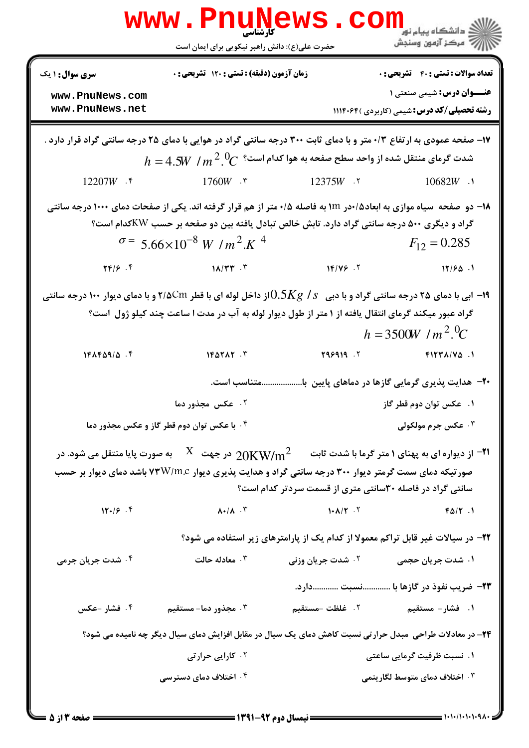|                                                                                                                                                                                                                                                                            | <b>WWW.Pnugge</b><br>حضرت علی(ع): دانش راهبر نیکویی برای ایمان است                                                                                                                                                                                                                       |                               | <mark>ڪ دانشڪاه پيام نور</mark><br>ج آ مرڪز آزمون وسنڊش                                |
|----------------------------------------------------------------------------------------------------------------------------------------------------------------------------------------------------------------------------------------------------------------------------|------------------------------------------------------------------------------------------------------------------------------------------------------------------------------------------------------------------------------------------------------------------------------------------|-------------------------------|----------------------------------------------------------------------------------------|
| <b>سری سوال : ۱ یک</b>                                                                                                                                                                                                                                                     | زمان آزمون (دقیقه) : تستی : ۱۲۰ تشریحی : 0                                                                                                                                                                                                                                               |                               | <b>تعداد سوالات : تستی : 40 - تشریحی : 0</b>                                           |
| www.PnuNews.com<br>www.PnuNews.net                                                                                                                                                                                                                                         |                                                                                                                                                                                                                                                                                          |                               | <b>عنـــوان درس:</b> شیمی صنعتی ۱<br><b>رشته تحصیلی/کد درس:</b> شیمی (کاربردی )۱۱۱۴۰۶۴ |
|                                                                                                                                                                                                                                                                            | ۱۷- صفحه عمودی به ارتفاع ۰/۳ متر و با دمای ثابت ۳۰۰ درجه سانتی گراد در هوایی با دمای ۲۵ درجه سانتی گراد قرار دارد .<br>$h = 4.5 W$ شدت گرمای منتقل شده از واحد سطح صفحه به هوا کدام است؟ $h = 4.5 W$ / $m$                                                                               |                               |                                                                                        |
| 12207W $\cdot$ $\cdot$                                                                                                                                                                                                                                                     | $1760W$ . ۳                                                                                                                                                                                                                                                                              | 12375W .٢                     | $10682W$ .                                                                             |
|                                                                                                                                                                                                                                                                            | ۱۸– دو  صفحه  سیاه موازی به ابعاد۱۵/در ۱۱۲ به فاصله ۰/۵ متر از هم قرار گرفته اند. یکی از صفحات دمای ۱۰۰۰ درجه سانتی<br>گراد و دیگری ۵۰۰ درجه سانتی گراد دارد. تابش خالص تبادل یافته بین دو صفحه بر حسب KWکدام است؟<br>$\sigma$ = 5.66×10 <sup>-8</sup> W /m <sup>2</sup> .K <sup>4</sup> |                               | $F_{12} = 0.285$                                                                       |
| $\mathbf{Y} \mathbf{F} / \mathbf{S}$ .                                                                                                                                                                                                                                     | $1\lambda/\Upsilon\Upsilon$ . $\Upsilon$                                                                                                                                                                                                                                                 | 16/199.7                      | 17/50.1                                                                                |
| ا ابی با دمای ۲۵ درجه سانتی گراد و با دبی۔ $0.5Kg$ / $0.5Kg$ از داخل لوله ای با قطر ۲/۵Cm و با دمای دیوار ۱۰۰ درجه سانتی $\sim$<br>گراد عبور میکند گرمای انتقال یافته از ۱ متر از طول دیوار لوله به آب در مدت ا ساعت چند کیلو ژول است؟<br>$h = 3500W/m^2$ . <sup>0</sup> C |                                                                                                                                                                                                                                                                                          |                               |                                                                                        |
| $1FAP\Delta9/\Delta$ .                                                                                                                                                                                                                                                     | $1F\Delta Y\Delta Y$ . $T$                                                                                                                                                                                                                                                               | 796919. T                     | $F17T A/V \Delta$ .                                                                    |
|                                                                                                                                                                                                                                                                            | .متناسب است.                                                                                                                                                                                                                                                                             |                               | <b>۰۲</b> - هدایت پذیری گرمایی گازها در دماهای پایین با.                               |
|                                                                                                                                                                                                                                                                            | ۰۲ عکس مجذور دما                                                                                                                                                                                                                                                                         |                               | ۰۱ عکس توان دوم قطر گاز                                                                |
|                                                                                                                                                                                                                                                                            | ۰۴ با عکس توان دوم قطر گاز و عکس مجذور دما                                                                                                                                                                                                                                               |                               | ۰۳ عکس جرم مولکولی                                                                     |
| $11 - 19 - 9$                                                                                                                                                                                                                                                              | از دیواره ای به پهنای ۱ متر گرما با شدت ثابت $\rm 20KW/m^2$ در جهت $\rm X$ به صورت پایا منتقل می شود. در $\rm Y$<br>صورتیکه دمای سمت گرمتر دیوار ۳۰۰ درجه سانتی گراد و هدایت پذیری دیوار ۷۳W/m.c باشد دمای دیوار بر حسب<br>$\lambda$ + $/\lambda$ . $\lambda$                            | $\lambda + \lambda / \lambda$ | سانتی گراد در فاصله ۳۰سانتی متری از قسمت سردتر کدام است؟<br>$F\Delta/\Upsilon$ .       |
|                                                                                                                                                                                                                                                                            |                                                                                                                                                                                                                                                                                          |                               |                                                                                        |
| ۰۴ شدت جریان جرمی                                                                                                                                                                                                                                                          | ۲۲- در سیالات غیر قابل تراکم معمولا از کدام یک از پارامترهای زیر استفاده می شود؟<br>۰۳ معادله حالت                                                                                                                                                                                       | ۰۲ شدت جریان وزنی             | ۱. شدت جریان حجمی                                                                      |
|                                                                                                                                                                                                                                                                            |                                                                                                                                                                                                                                                                                          |                               | ٢٣- ضريب نفوذ در گازها با نسبت دارد.                                                   |
| ۰۴ فشار -عکس                                                                                                                                                                                                                                                               | ۰۳ مجذور دما- مستقیم                                                                                                                                                                                                                                                                     | ٢. غلظت -مستقيم               | ۱. فشار- مستقیم                                                                        |
|                                                                                                                                                                                                                                                                            | ۲۴– در معادلات طراحی ًمبدل حرارتی نسبت کاهش دمای یک سیال در مقابل افزایش دمای سیال دیگر چه نامیده می شود؟                                                                                                                                                                                |                               |                                                                                        |
|                                                                                                                                                                                                                                                                            | ۰۲ کارایی حرارتی                                                                                                                                                                                                                                                                         |                               | ۰۱ نسبت ظرفیت گرمایی ساعتی                                                             |
|                                                                                                                                                                                                                                                                            | ۰۴ اختلاف دمای دسترسی                                                                                                                                                                                                                                                                    |                               | ۰۳ اختلاف دمای متوسط لگاریتمی                                                          |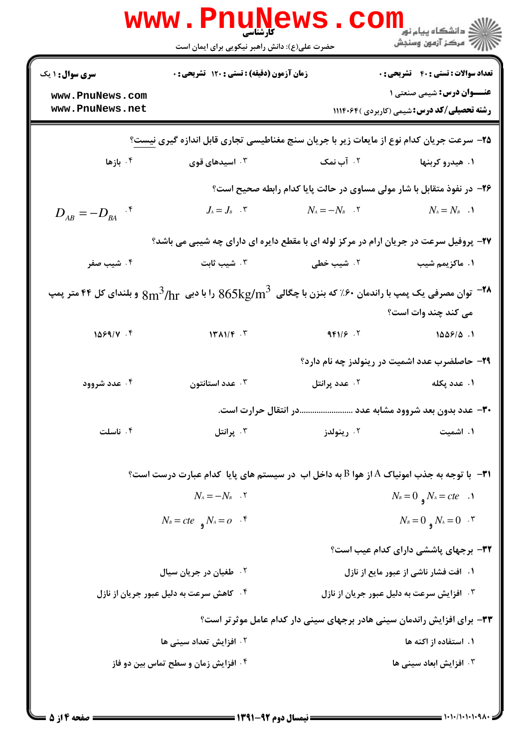|                                                                                                                                          | <b>WWW.Pnunet</b><br>حضرت علی(ع): دانش راهبر نیکویی برای ایمان است     |                                                                                         | ڪ دانشڪاه پيام نور ■<br>/> مرکز آزمون وسنڊش                                            |
|------------------------------------------------------------------------------------------------------------------------------------------|------------------------------------------------------------------------|-----------------------------------------------------------------------------------------|----------------------------------------------------------------------------------------|
| <b>سری سوال : ۱ یک</b>                                                                                                                   | زمان آزمون (دقیقه) : تستی : ۱۲۰ تشریحی : ۰                             |                                                                                         | <b>تعداد سوالات : تستی : 40 - تشریحی : 0</b>                                           |
| www.PnuNews.com<br>www.PnuNews.net                                                                                                       |                                                                        |                                                                                         | <b>عنـــوان درس:</b> شیمی صنعتی ۱<br><b>رشته تحصیلی/کد درس:</b> شیمی (کاربردی )۱۱۱۴۰۶۴ |
|                                                                                                                                          |                                                                        |                                                                                         |                                                                                        |
| ۲۵– سرعت جریان کدام نوع از مایعات زیر با جریان سنج مغناطیسی تجاری قابل اندازه گیری نیست؟                                                 |                                                                        |                                                                                         |                                                                                        |
| ۰۴ بازها                                                                                                                                 | ۰۳ اسیدهای قوی                                                         | ۰۲ آب نمک                                                                               | ۱. هیدرو کربنها                                                                        |
|                                                                                                                                          |                                                                        | ۲۶- در نفوذ متقابل با شار مولی مساوی در حالت پایا کدام رابطه صحیح است؟                  |                                                                                        |
| $D_{AB} = -D_{BA}$ ' <sup>*</sup>                                                                                                        | $J_{\scriptscriptstyle{A}} = J_{\scriptscriptstyle{B}}$ . $\vec{\tau}$ | $N_{\scriptscriptstyle{A}} = - N_{\scriptscriptstyle{B}}$ . $\boldsymbol{\mathsf{y}}$   | $N_A = N_B$ .                                                                          |
|                                                                                                                                          |                                                                        | ۲۷- پروفیل سرعت در جریان ارام در مرکز لوله ای با مقطع دایره ای دارای چه شیبی می باشد؟   |                                                                                        |
| ۰۴ شیب صفر                                                                                                                               | ۰۳ شیب ثابت                                                            | ۰۲ شیب خطی                                                                              | ۰۱ ماکزیمم شیب                                                                         |
| و بلندای کل ۴۴ متر پمپ (اندمان ۶۰٪ که بنزن با چگالی $865 \text{kg/m}^3$ را با دبی $8\text{m}^3/\text{hr}$ و بلندای کل ۴۴ متر پمپ $^{-1}$ |                                                                        |                                                                                         |                                                                                        |
|                                                                                                                                          |                                                                        |                                                                                         | می کند چند وات است؟                                                                    |
| 1099/V.9                                                                                                                                 | $14 \text{ N}$                                                         | 991/5.7                                                                                 | 1009/0.1                                                                               |
|                                                                                                                                          |                                                                        |                                                                                         |                                                                                        |
|                                                                                                                                          |                                                                        |                                                                                         | <b>۲۹</b> - حاصلضرب عدد اشمیت در رینولدز چه نام دارد؟                                  |
| ۰۴ عدد شروود                                                                                                                             | ۰۳ عدد استانتون                                                        | ۰۲ عدد پرانتل                                                                           | ١. عدد پکله                                                                            |
|                                                                                                                                          |                                                                        | ۳۰– عدد بدون بعد شروود مشابه عدد در انتقال حرارت است.                                   |                                                                                        |
| ۰۴ ناسلت                                                                                                                                 | ۰۳ پرانتل                                                              | ۰۲ رينولدز                                                                              | ۰۱ اشمیت                                                                               |
|                                                                                                                                          |                                                                        | ۳۱− با توجه به جذب امونیاک A از هوا B به داخل اب در سیستم های پایا کدام عبارت درست است؟ |                                                                                        |
|                                                                                                                                          | $N_A = -N_B$ . Y                                                       |                                                                                         | $N_B=0$ $N_A = cte$ .                                                                  |
|                                                                                                                                          | $N_B = cte$ $N_A = 0$ $\cdot$ $\uparrow$                               |                                                                                         | $N_B=0$ $N_A=0$ $\cdot$ $\cdot$                                                        |
|                                                                                                                                          |                                                                        |                                                                                         | ۳۲- برجهای پاششی دارای کدام عیب است؟                                                   |
|                                                                                                                                          | ۰۲ طغیان در جریان سیال                                                 |                                                                                         | ۱. افت فشار ناشی از عبور مایع از نازل                                                  |
|                                                                                                                                          | ۰۴ کاهش سرعت به دلیل عبور جریان از نازل                                |                                                                                         | ۰۳ افزایش سرعت به دلیل عبور جریان از نازل                                              |
|                                                                                                                                          |                                                                        | <b>۳۳</b> - برای افزایش راندمان سینی هادر برجهای سینی دار کدام عامل موثرتر است؟         |                                                                                        |
|                                                                                                                                          | ۰۲ افزایش تعداد سینی ها                                                |                                                                                         | ۱. استفاده از اکنه ها                                                                  |
|                                                                                                                                          | ۰۴ افزایش زمان و سطح تماس بین دو فاز                                   |                                                                                         | ۰۳ افزایش ابعاد سینی ها                                                                |
|                                                                                                                                          |                                                                        |                                                                                         |                                                                                        |